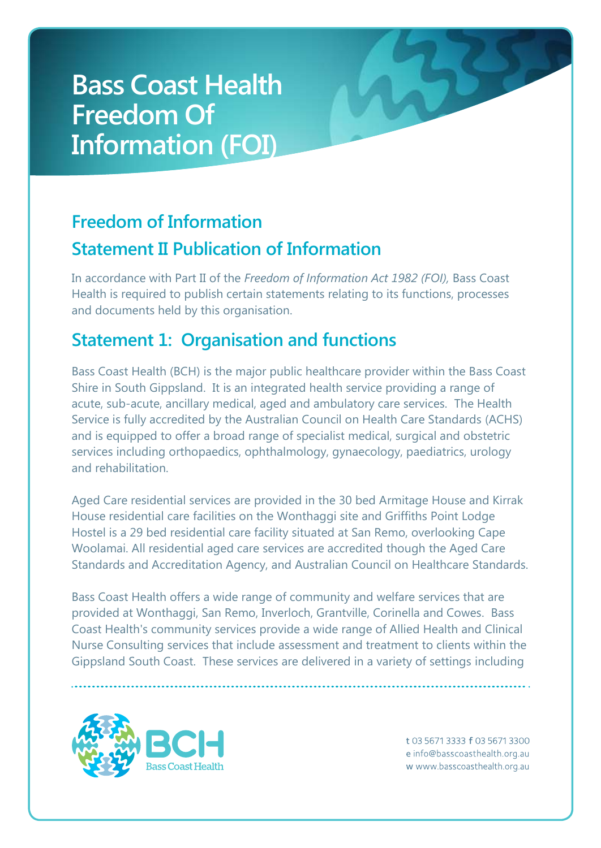#### **Freedom of Information Statement II Publication of Information**

In accordance with Part II of the *Freedom of Information Act 1982 (FOI),* Bass Coast Health is required to publish certain statements relating to its functions, processes and documents held by this organisation.

#### **Statement 1: Organisation and functions**

Bass Coast Health (BCH) is the major public healthcare provider within the Bass Coast Shire in South Gippsland. It is an integrated health service providing a range of acute, sub-acute, ancillary medical, aged and ambulatory care services. The Health Service is fully accredited by the Australian Council on Health Care Standards (ACHS) and is equipped to offer a broad range of specialist medical, surgical and obstetric services including orthopaedics, ophthalmology, gynaecology, paediatrics, urology and rehabilitation.

Aged Care residential services are provided in the 30 bed Armitage House and Kirrak House residential care facilities on the Wonthaggi site and Griffiths Point Lodge Hostel is a 29 bed residential care facility situated at San Remo, overlooking Cape Woolamai. All residential aged care services are accredited though the Aged Care Standards and Accreditation Agency, and Australian Council on Healthcare Standards.

Bass Coast Health offers a wide range of community and welfare services that are provided at Wonthaggi, San Remo, Inverloch, Grantville, Corinella and Cowes. Bass Coast Health's community services provide a wide range of Allied Health and Clinical Nurse Consulting services that include assessment and treatment to clients within the Gippsland South Coast. These services are delivered in a variety of settings including

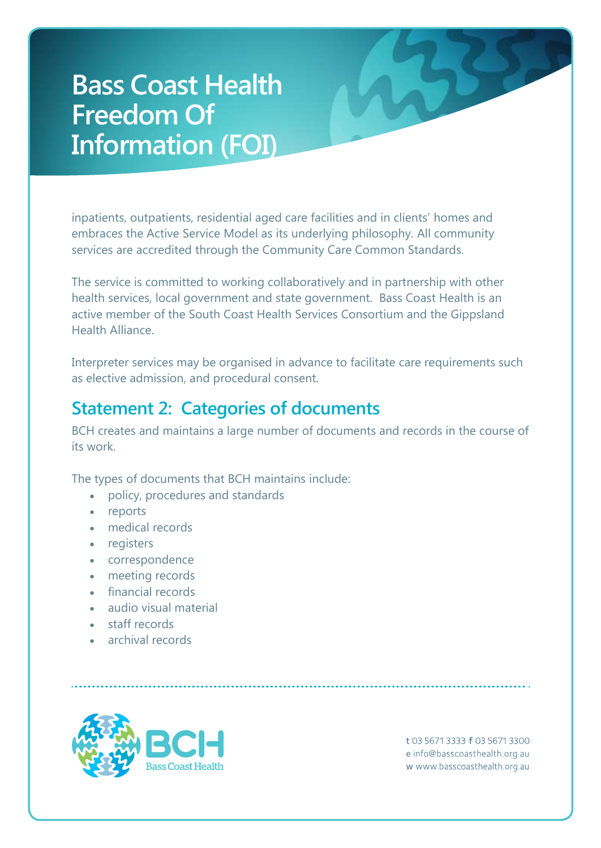inpatients, outpatients, residential aged care facilities and in clients' homes and embraces the Active Service Model as its underlying philosophy. All community services are accredited through the Community Care Common Standards.

The service is committed to working collaboratively and in partnership with other health services, local government and state government. Bass Coast Health is an active member of the South Coast Health Services Consortium and the Gippsland Health Alliance.

Interpreter services may be organised in advance to facilitate care requirements such as elective admission, and procedural consent.

#### **Statement 2: Categories of documents**

BCH creates and maintains a large number of documents and records in the course of its work.

The types of documents that BCH maintains include:

- policy, procedures and standards
- reports
- medical records
- registers
- correspondence
- meeting records
- financial records
- audio visual material
- staff records
- archival records

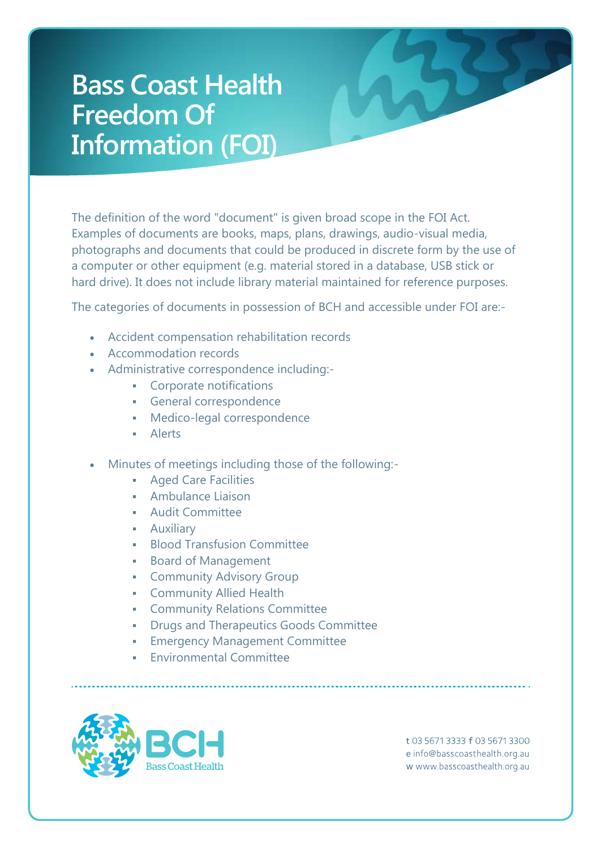The definition of the word "document" is given broad scope in the FOI Act. Examples of documents are books, maps, plans, drawings, audio-visual media, photographs and documents that could be produced in discrete form by the use of a computer or other equipment (e.g. material stored in a database, USB stick or hard drive). It does not include library material maintained for reference purposes.

The categories of documents in possession of BCH and accessible under FOI are:-

- Accident compensation rehabilitation records
- Accommodation records
- Administrative correspondence including:-
	- **Corporate notifications**
	- General correspondence
	- Medico-legal correspondence
	- Alerts
- Minutes of meetings including those of the following:-
	- Aged Care Facilities
	- Ambulance Liaison
	- Audit Committee
	- Auxiliary
	- **Blood Transfusion Committee**
	- Board of Management
	- **-** Community Advisory Group
	- **-** Community Allied Health
	- Community Relations Committee
	- Drugs and Therapeutics Goods Committee
	- Emergency Management Committee
	- Environmental Committee

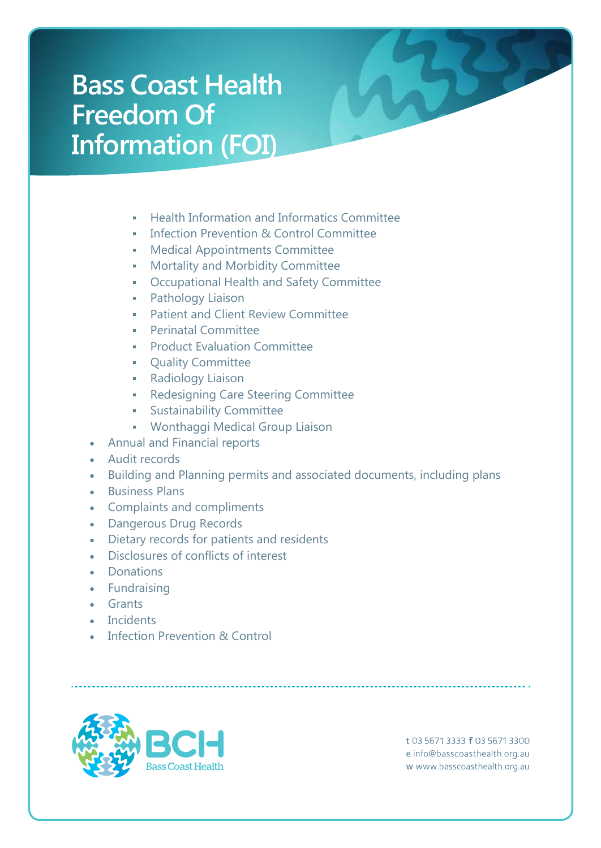- Health Information and Informatics Committee
- **Infection Prevention & Control Committee**
- **Medical Appointments Committee**
- Mortality and Morbidity Committee
- Occupational Health and Safety Committee
- Pathology Liaison
- Patient and Client Review Committee
- Perinatal Committee
- **Product Evaluation Committee**
- **Quality Committee**
- **Radiology Liaison**
- **Redesigning Care Steering Committee**
- **Sustainability Committee**
- Wonthaggi Medical Group Liaison
- Annual and Financial reports
- Audit records
- Building and Planning permits and associated documents, including plans
- **•** Business Plans
- Complaints and compliments
- Dangerous Drug Records
- Dietary records for patients and residents
- Disclosures of conflicts of interest
- Donations
- Fundraising
- Grants
- Incidents
- Infection Prevention & Control

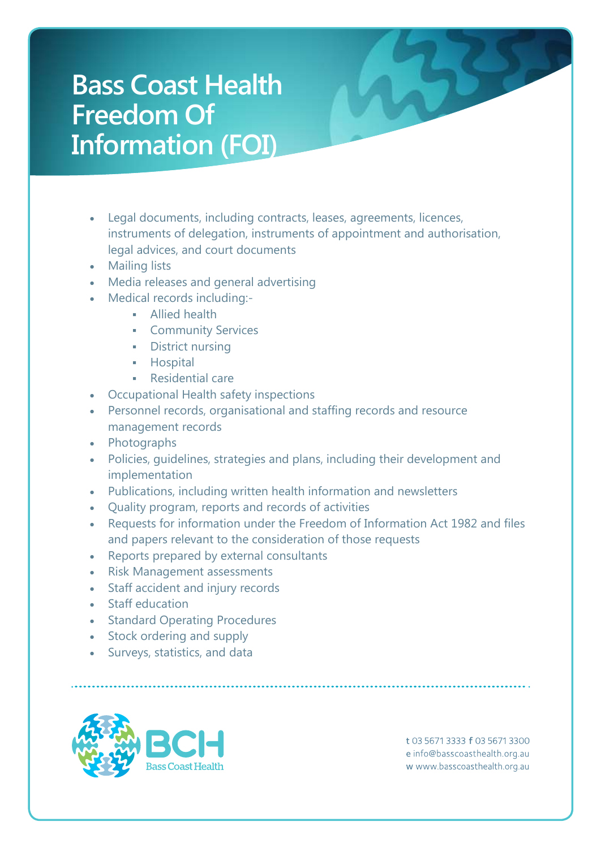- Legal documents, including contracts, leases, agreements, licences, instruments of delegation, instruments of appointment and authorisation, legal advices, and court documents
- Mailing lists
- Media releases and general advertising
- Medical records including:-
	- **Allied health**
	- **-** Community Services
	- **-** District nursing
	- **-** Hospital
	- Residential care
- Occupational Health safety inspections
- Personnel records, organisational and staffing records and resource management records
- Photographs
- Policies, guidelines, strategies and plans, including their development and implementation
- Publications, including written health information and newsletters
- Quality program, reports and records of activities
- Requests for information under the Freedom of Information Act 1982 and files and papers relevant to the consideration of those requests
- Reports prepared by external consultants
- Risk Management assessments
- Staff accident and injury records
- Staff education
- Standard Operating Procedures
- Stock ordering and supply
- Surveys, statistics, and data

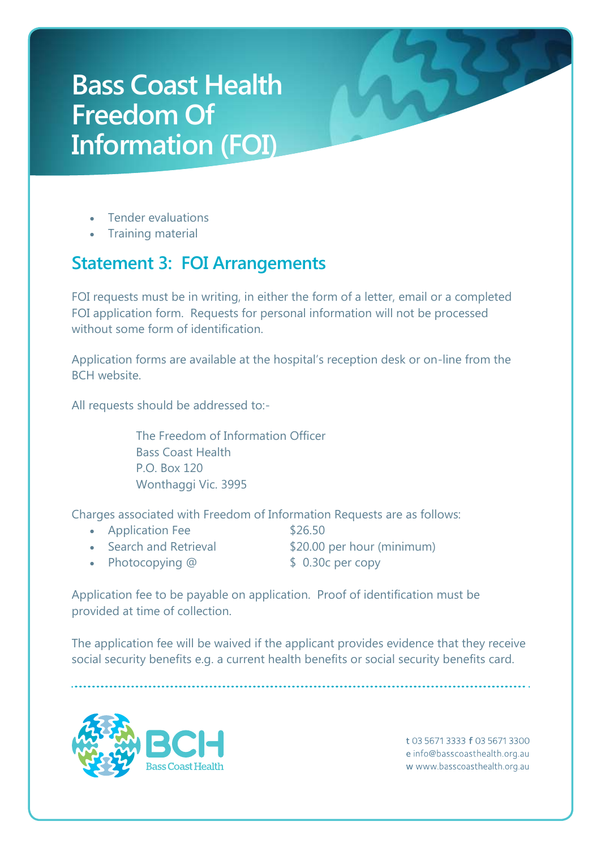- Tender evaluations
- Training material

#### **Statement 3: FOI Arrangements**

FOI requests must be in writing, in either the form of a letter, email or a completed FOI application form. Requests for personal information will not be processed without some form of identification

Application forms are available at the hospital's reception desk or on-line from the BCH website.

All requests should be addressed to:-

The Freedom of Information Officer Bass Coast Health P.O. Box 120 Wonthaggi Vic. 3995

Charges associated with Freedom of Information Requests are as follows:

- Application Fee \$26.50
- 
- Search and Retrieval \$20.00 per hour (minimum)
- 
- Photocopying @ \$ 0.30c per copy
- 

Application fee to be payable on application. Proof of identification must be provided at time of collection.

The application fee will be waived if the applicant provides evidence that they receive social security benefits e.g. a current health benefits or social security benefits card.

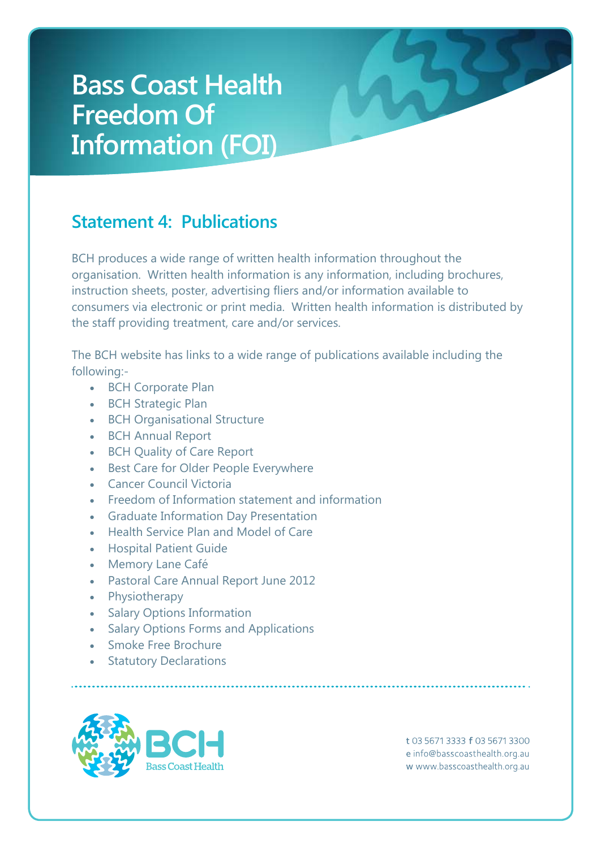#### **Statement 4: Publications**

BCH produces a wide range of written health information throughout the organisation. Written health information is any information, including brochures, instruction sheets, poster, advertising fliers and/or information available to consumers via electronic or print media. Written health information is distributed by the staff providing treatment, care and/or services.

The BCH website has links to a wide range of publications available including the following:-

- [BCH](http://www.gha.net.au/Uploadlibrary/4016556752009_Quality_of_Care_Report.pdf) Corporate Plan
- BCH Strategic Plan
- [BCH](http://www.gha.net.au/Uploadlibrary/401655675QualityofCareFeedBackForm.doc) Organisational Structure
- BCH Annual Report
- BCH Quality of Care Report
- **•** [Best](http://www.gha.net.au/Uploadlibrary/392233919BawBawAgedServicePlan.doc) Care for Older People Everywhere
- [Cancer](http://www.gha.net.au/Uploadlibrary/4046469652010QualityofCareReport.pdf) Council Victoria
- Freedom of Information statement and information
- Graduate Information Day Presentation
- Health Service Plan and Model of Care
- Hospital Patient Guide
- Memory Lane Café
- Pastoral Care Annual Report June 2012
- Physiotherapy
- Salary Options Information
- Salary Options Forms and Applications
- Smoke Free Brochure
- **•** Statutory Declarations